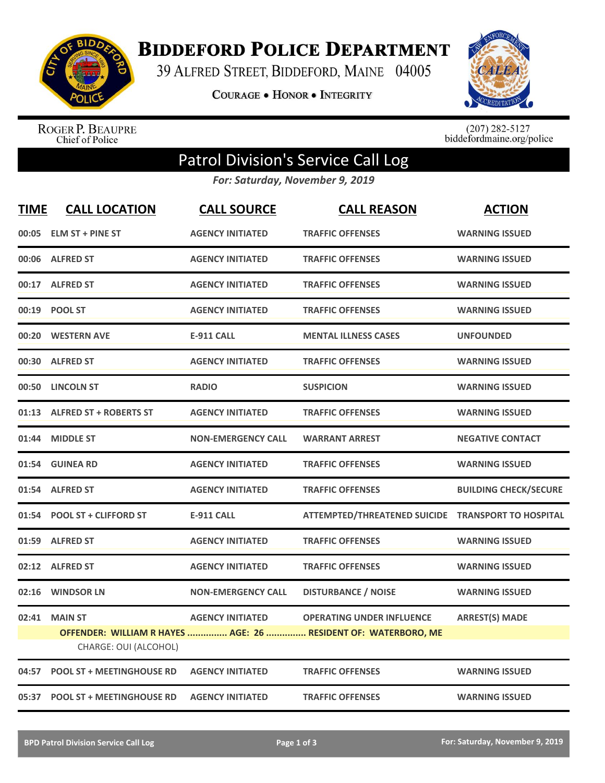

**BIDDEFORD POLICE DEPARTMENT** 

39 ALFRED STREET, BIDDEFORD, MAINE 04005

**COURAGE . HONOR . INTEGRITY** 



ROGER P. BEAUPRE<br>Chief of Police

 $(207)$  282-5127<br>biddefordmaine.org/police

## Patrol Division's Service Call Log

*For: Saturday, November 9, 2019*

| <b>TIME</b> | <b>CALL LOCATION</b>                    | <b>CALL SOURCE</b>        | <b>CALL REASON</b>                                                                                 | <b>ACTION</b>                |
|-------------|-----------------------------------------|---------------------------|----------------------------------------------------------------------------------------------------|------------------------------|
| 00:05       | <b>ELM ST + PINE ST</b>                 | <b>AGENCY INITIATED</b>   | <b>TRAFFIC OFFENSES</b>                                                                            | <b>WARNING ISSUED</b>        |
| 00:06       | <b>ALFRED ST</b>                        | <b>AGENCY INITIATED</b>   | <b>TRAFFIC OFFENSES</b>                                                                            | <b>WARNING ISSUED</b>        |
|             | 00:17 ALFRED ST                         | <b>AGENCY INITIATED</b>   | <b>TRAFFIC OFFENSES</b>                                                                            | <b>WARNING ISSUED</b>        |
| 00:19       | <b>POOL ST</b>                          | <b>AGENCY INITIATED</b>   | <b>TRAFFIC OFFENSES</b>                                                                            | <b>WARNING ISSUED</b>        |
| 00:20       | <b>WESTERN AVE</b>                      | <b>E-911 CALL</b>         | <b>MENTAL ILLNESS CASES</b>                                                                        | <b>UNFOUNDED</b>             |
| 00:30       | <b>ALFRED ST</b>                        | <b>AGENCY INITIATED</b>   | <b>TRAFFIC OFFENSES</b>                                                                            | <b>WARNING ISSUED</b>        |
| 00:50       | <b>LINCOLN ST</b>                       | <b>RADIO</b>              | <b>SUSPICION</b>                                                                                   | <b>WARNING ISSUED</b>        |
| 01:13       | <b>ALFRED ST + ROBERTS ST</b>           | <b>AGENCY INITIATED</b>   | <b>TRAFFIC OFFENSES</b>                                                                            | <b>WARNING ISSUED</b>        |
| 01:44       | <b>MIDDLE ST</b>                        | <b>NON-EMERGENCY CALL</b> | <b>WARRANT ARREST</b>                                                                              | <b>NEGATIVE CONTACT</b>      |
|             | 01:54 GUINEA RD                         | <b>AGENCY INITIATED</b>   | <b>TRAFFIC OFFENSES</b>                                                                            | <b>WARNING ISSUED</b>        |
| 01:54       | <b>ALFRED ST</b>                        | <b>AGENCY INITIATED</b>   | <b>TRAFFIC OFFENSES</b>                                                                            | <b>BUILDING CHECK/SECURE</b> |
| 01:54       | <b>POOL ST + CLIFFORD ST</b>            | <b>E-911 CALL</b>         | <b>ATTEMPTED/THREATENED SUICIDE</b>                                                                | <b>TRANSPORT TO HOSPITAL</b> |
| 01:59       | <b>ALFRED ST</b>                        | <b>AGENCY INITIATED</b>   | <b>TRAFFIC OFFENSES</b>                                                                            | <b>WARNING ISSUED</b>        |
| 02:12       | <b>ALFRED ST</b>                        | <b>AGENCY INITIATED</b>   | <b>TRAFFIC OFFENSES</b>                                                                            | <b>WARNING ISSUED</b>        |
| 02:16       | <b>WINDSOR LN</b>                       | <b>NON-EMERGENCY CALL</b> | <b>DISTURBANCE / NOISE</b>                                                                         | <b>WARNING ISSUED</b>        |
| 02:41       | <b>MAIN ST</b><br>CHARGE: OUI (ALCOHOL) | <b>AGENCY INITIATED</b>   | <b>OPERATING UNDER INFLUENCE</b><br>OFFENDER: WILLIAM R HAYES  AGE: 26  RESIDENT OF: WATERBORO, ME | <b>ARREST(S) MADE</b>        |
| 04:57       | <b>POOL ST + MEETINGHOUSE RD</b>        | <b>AGENCY INITIATED</b>   | <b>TRAFFIC OFFENSES</b>                                                                            | <b>WARNING ISSUED</b>        |
| 05:37       | <b>POOL ST + MEETINGHOUSE RD</b>        | <b>AGENCY INITIATED</b>   | <b>TRAFFIC OFFENSES</b>                                                                            | <b>WARNING ISSUED</b>        |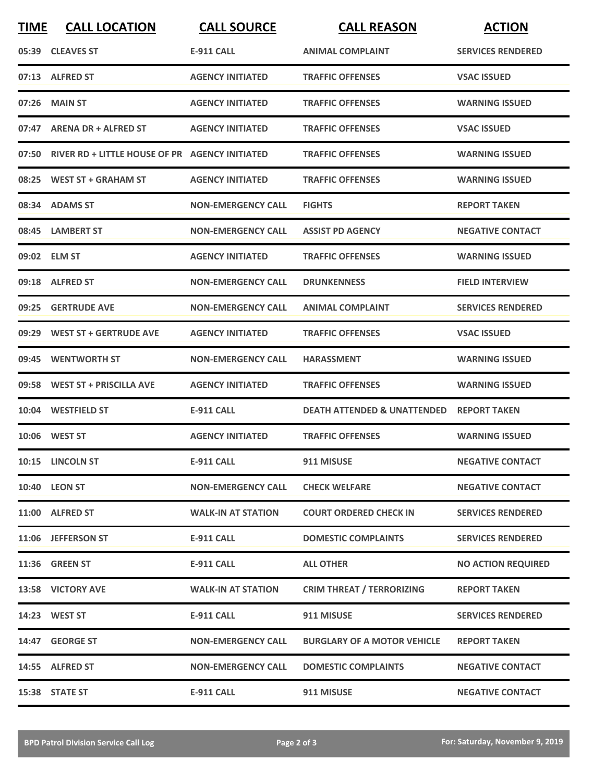| <b>TIME</b> | <b>CALL LOCATION</b>                                 | <b>CALL SOURCE</b>        | <b>CALL REASON</b>                     | <b>ACTION</b>             |
|-------------|------------------------------------------------------|---------------------------|----------------------------------------|---------------------------|
|             | 05:39 CLEAVES ST                                     | <b>E-911 CALL</b>         | <b>ANIMAL COMPLAINT</b>                | <b>SERVICES RENDERED</b>  |
|             | 07:13 ALFRED ST                                      | <b>AGENCY INITIATED</b>   | <b>TRAFFIC OFFENSES</b>                | <b>VSAC ISSUED</b>        |
|             | 07:26 MAIN ST                                        | <b>AGENCY INITIATED</b>   | <b>TRAFFIC OFFENSES</b>                | <b>WARNING ISSUED</b>     |
|             | 07:47 ARENA DR + ALFRED ST                           | <b>AGENCY INITIATED</b>   | <b>TRAFFIC OFFENSES</b>                | <b>VSAC ISSUED</b>        |
|             | 07:50 RIVER RD + LITTLE HOUSE OF PR AGENCY INITIATED |                           | <b>TRAFFIC OFFENSES</b>                | <b>WARNING ISSUED</b>     |
|             | 08:25 WEST ST + GRAHAM ST                            | <b>AGENCY INITIATED</b>   | <b>TRAFFIC OFFENSES</b>                | <b>WARNING ISSUED</b>     |
|             | 08:34 ADAMS ST                                       | <b>NON-EMERGENCY CALL</b> | <b>FIGHTS</b>                          | <b>REPORT TAKEN</b>       |
|             | 08:45 LAMBERT ST                                     | <b>NON-EMERGENCY CALL</b> | <b>ASSIST PD AGENCY</b>                | <b>NEGATIVE CONTACT</b>   |
|             | 09:02 ELM ST                                         | <b>AGENCY INITIATED</b>   | <b>TRAFFIC OFFENSES</b>                | <b>WARNING ISSUED</b>     |
|             | 09:18 ALFRED ST                                      | <b>NON-EMERGENCY CALL</b> | <b>DRUNKENNESS</b>                     | <b>FIELD INTERVIEW</b>    |
|             | 09:25 GERTRUDE AVE                                   | <b>NON-EMERGENCY CALL</b> | <b>ANIMAL COMPLAINT</b>                | <b>SERVICES RENDERED</b>  |
|             | 09:29 WEST ST + GERTRUDE AVE                         | <b>AGENCY INITIATED</b>   | <b>TRAFFIC OFFENSES</b>                | <b>VSAC ISSUED</b>        |
| 09:45       | <b>WENTWORTH ST</b>                                  | <b>NON-EMERGENCY CALL</b> | <b>HARASSMENT</b>                      | <b>WARNING ISSUED</b>     |
|             | 09:58 WEST ST + PRISCILLA AVE                        | <b>AGENCY INITIATED</b>   | <b>TRAFFIC OFFENSES</b>                | <b>WARNING ISSUED</b>     |
|             | 10:04 WESTFIELD ST                                   | <b>E-911 CALL</b>         | <b>DEATH ATTENDED &amp; UNATTENDED</b> | <b>REPORT TAKEN</b>       |
|             | 10:06 WEST ST                                        | <b>AGENCY INITIATED</b>   | <b>TRAFFIC OFFENSES</b>                | <b>WARNING ISSUED</b>     |
|             | 10:15 LINCOLN ST                                     | E-911 CALL                | 911 MISUSE                             | <b>NEGATIVE CONTACT</b>   |
|             | 10:40 LEON ST                                        | <b>NON-EMERGENCY CALL</b> | <b>CHECK WELFARE</b>                   | <b>NEGATIVE CONTACT</b>   |
|             | 11:00 ALFRED ST                                      | <b>WALK-IN AT STATION</b> | <b>COURT ORDERED CHECK IN</b>          | <b>SERVICES RENDERED</b>  |
|             | 11:06 JEFFERSON ST                                   | <b>E-911 CALL</b>         | <b>DOMESTIC COMPLAINTS</b>             | <b>SERVICES RENDERED</b>  |
|             | <b>11:36 GREEN ST</b>                                | E-911 CALL                | <b>ALL OTHER</b>                       | <b>NO ACTION REQUIRED</b> |
|             | 13:58 VICTORY AVE                                    | <b>WALK-IN AT STATION</b> | <b>CRIM THREAT / TERRORIZING</b>       | <b>REPORT TAKEN</b>       |
|             | 14:23 WEST ST                                        | <b>E-911 CALL</b>         | 911 MISUSE                             | <b>SERVICES RENDERED</b>  |
|             | 14:47 GEORGE ST                                      | <b>NON-EMERGENCY CALL</b> | <b>BURGLARY OF A MOTOR VEHICLE</b>     | <b>REPORT TAKEN</b>       |
|             | 14:55 ALFRED ST                                      | <b>NON-EMERGENCY CALL</b> | <b>DOMESTIC COMPLAINTS</b>             | <b>NEGATIVE CONTACT</b>   |
|             | 15:38 STATE ST                                       | <b>E-911 CALL</b>         | 911 MISUSE                             | <b>NEGATIVE CONTACT</b>   |